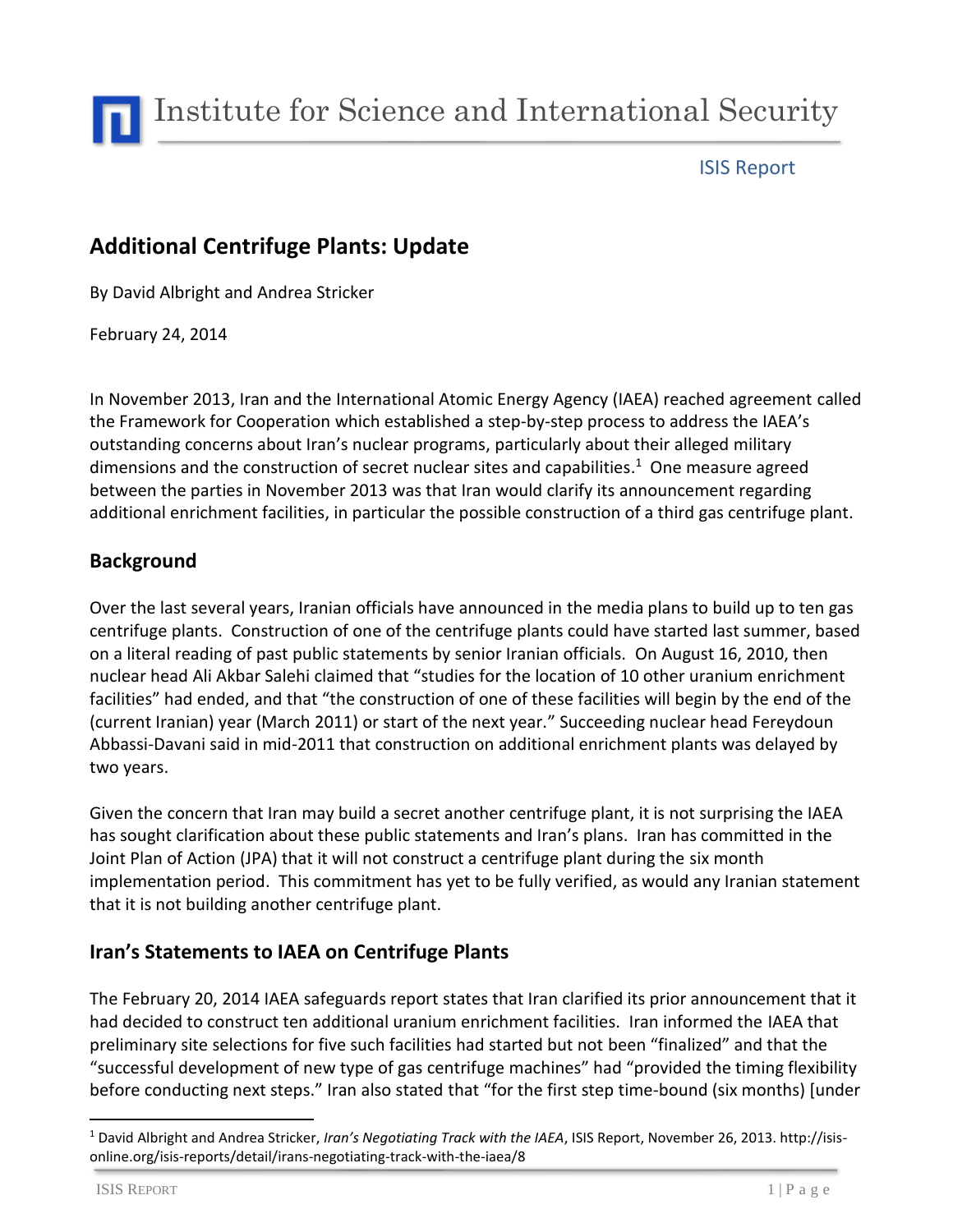

Institute for Science and International Security

### ISIS Report

# **Additional Centrifuge Plants: Update**

By David Albright and Andrea Stricker

February 24, 2014

In November 2013, Iran and the International Atomic Energy Agency (IAEA) reached agreement called the Framework for Cooperation which established a step-by-step process to address the IAEA's outstanding concerns about Iran's nuclear programs, particularly about their alleged military dimensions and the construction of secret nuclear sites and capabilities. <sup>1</sup> One measure agreed between the parties in November 2013 was that Iran would clarify its announcement regarding additional enrichment facilities, in particular the possible construction of a third gas centrifuge plant.

#### **Background**

Over the last several years, Iranian officials have announced in the media plans to build up to ten gas centrifuge plants. Construction of one of the centrifuge plants could have started last summer, based on a literal reading of past public statements by senior Iranian officials. On August 16, 2010, then nuclear head Ali Akbar Salehi claimed that "studies for the location of 10 other uranium enrichment facilities" had ended, and that "the construction of one of these facilities will begin by the end of the (current Iranian) year (March 2011) or start of the next year." Succeeding nuclear head Fereydoun Abbassi-Davani said in mid-2011 that construction on additional enrichment plants was delayed by two years.

Given the concern that Iran may build a secret another centrifuge plant, it is not surprising the IAEA has sought clarification about these public statements and Iran's plans. Iran has committed in the Joint Plan of Action (JPA) that it will not construct a centrifuge plant during the six month implementation period. This commitment has yet to be fully verified, as would any Iranian statement that it is not building another centrifuge plant.

## **Iran's Statements to IAEA on Centrifuge Plants**

The February 20, 2014 IAEA safeguards report states that Iran clarified its prior announcement that it had decided to construct ten additional uranium enrichment facilities. Iran informed the IAEA that preliminary site selections for five such facilities had started but not been "finalized" and that the "successful development of new type of gas centrifuge machines" had "provided the timing flexibility before conducting next steps." Iran also stated that "for the first step time-bound (six months) [under

 $\ddot{\phantom{a}}$ 

<sup>1</sup> David Albright and Andrea Stricker, *Iran's Negotiating Track with the IAEA*, ISIS Report, November 26, 2013. http://isisonline.org/isis-reports/detail/irans-negotiating-track-with-the-iaea/8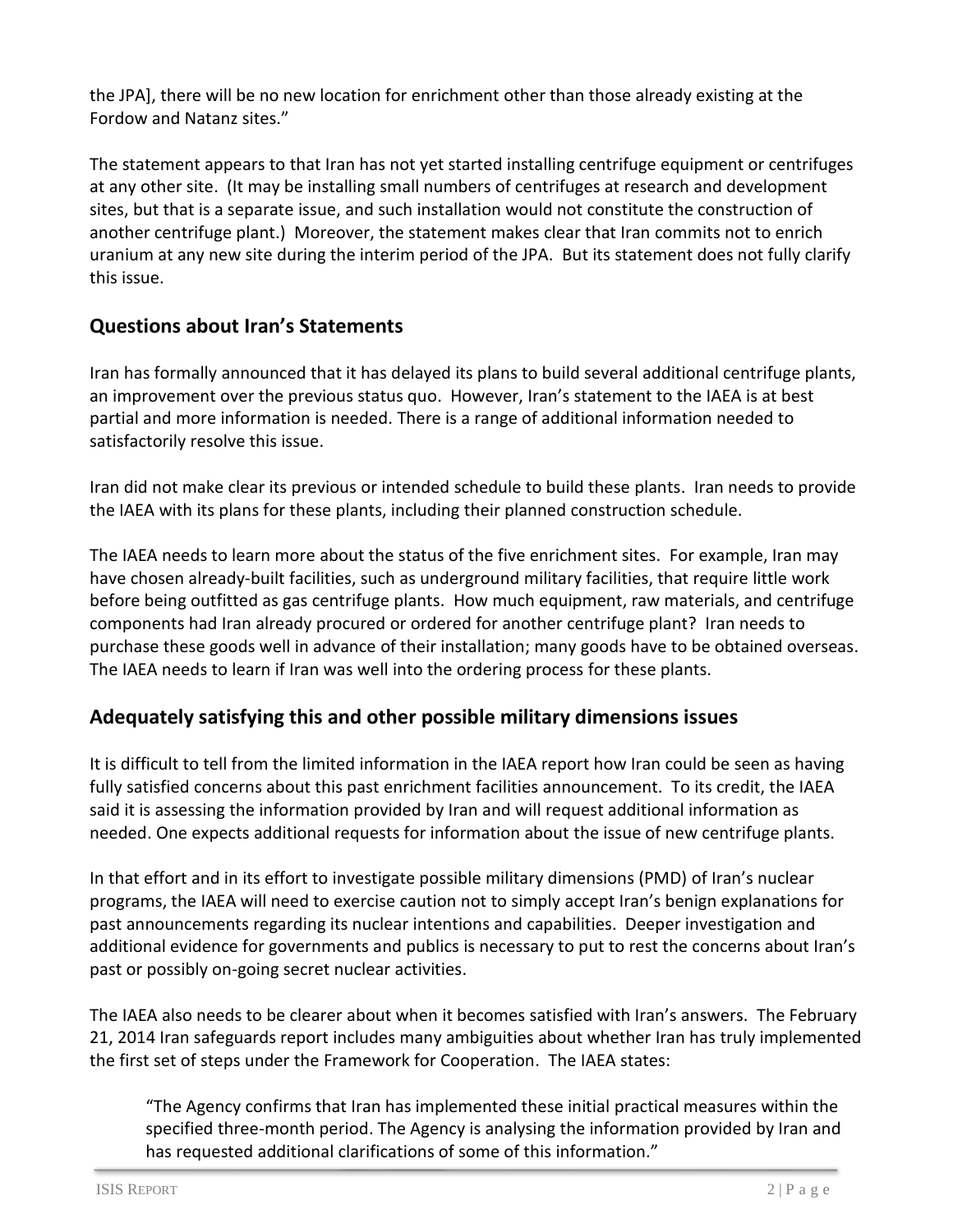the JPA], there will be no new location for enrichment other than those already existing at the Fordow and Natanz sites."

The statement appears to that Iran has not yet started installing centrifuge equipment or centrifuges at any other site. (It may be installing small numbers of centrifuges at research and development sites, but that is a separate issue, and such installation would not constitute the construction of another centrifuge plant.) Moreover, the statement makes clear that Iran commits not to enrich uranium at any new site during the interim period of the JPA. But its statement does not fully clarify this issue.

## **Questions about Iran's Statements**

Iran has formally announced that it has delayed its plans to build several additional centrifuge plants, an improvement over the previous status quo. However, Iran's statement to the IAEA is at best partial and more information is needed. There is a range of additional information needed to satisfactorily resolve this issue.

Iran did not make clear its previous or intended schedule to build these plants. Iran needs to provide the IAEA with its plans for these plants, including their planned construction schedule.

The IAEA needs to learn more about the status of the five enrichment sites. For example, Iran may have chosen already-built facilities, such as underground military facilities, that require little work before being outfitted as gas centrifuge plants. How much equipment, raw materials, and centrifuge components had Iran already procured or ordered for another centrifuge plant? Iran needs to purchase these goods well in advance of their installation; many goods have to be obtained overseas. The IAEA needs to learn if Iran was well into the ordering process for these plants.

#### **Adequately satisfying this and other possible military dimensions issues**

It is difficult to tell from the limited information in the IAEA report how Iran could be seen as having fully satisfied concerns about this past enrichment facilities announcement. To its credit, the IAEA said it is assessing the information provided by Iran and will request additional information as needed. One expects additional requests for information about the issue of new centrifuge plants.

In that effort and in its effort to investigate possible military dimensions (PMD) of Iran's nuclear programs, the IAEA will need to exercise caution not to simply accept Iran's benign explanations for past announcements regarding its nuclear intentions and capabilities. Deeper investigation and additional evidence for governments and publics is necessary to put to rest the concerns about Iran's past or possibly on-going secret nuclear activities.

The IAEA also needs to be clearer about when it becomes satisfied with Iran's answers. The February 21, 2014 Iran safeguards report includes many ambiguities about whether Iran has truly implemented the first set of steps under the Framework for Cooperation. The IAEA states:

"The Agency confirms that Iran has implemented these initial practical measures within the specified three-month period. The Agency is analysing the information provided by Iran and has requested additional clarifications of some of this information."